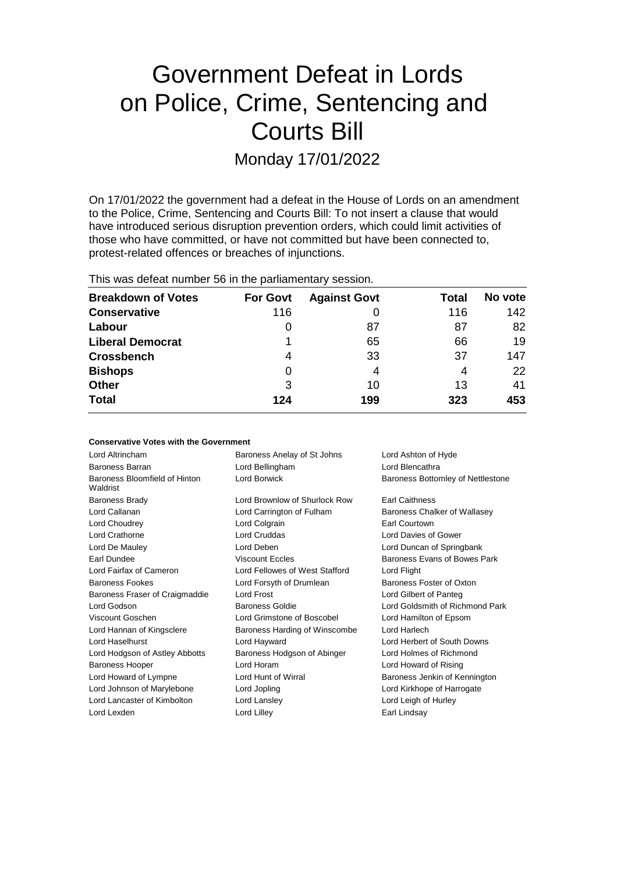# Government Defeat in Lords on Police, Crime, Sentencing and Courts Bill

Monday 17/01/2022

On 17/01/2022 the government had a defeat in the House of Lords on an amendment to the Police, Crime, Sentencing and Courts Bill: To not insert a clause that would have introduced serious disruption prevention orders, which could limit activities of those who have committed, or have not committed but have been connected to, protest-related offences or breaches of injunctions.

This was defeat number 56 in the parliamentary session.

| <b>Breakdown of Votes</b> | <b>For Govt</b> | <b>Against Govt</b> | Total | No vote |
|---------------------------|-----------------|---------------------|-------|---------|
| <b>Conservative</b>       | 116             |                     | 116   | 142     |
| Labour                    | O               | 87                  | 87    | 82      |
| <b>Liberal Democrat</b>   |                 | 65                  | 66    | 19      |
| <b>Crossbench</b>         | 4               | 33                  | 37    | 147     |
| <b>Bishops</b>            | 0               | 4                   | 4     | 22      |
| <b>Other</b>              | 3               | 10                  | 13    | 41      |
| <b>Total</b>              | 124             | 199                 | 323   | 453     |

| <b>Conservative Votes with the Government</b> |  |  |  |  |  |
|-----------------------------------------------|--|--|--|--|--|
|-----------------------------------------------|--|--|--|--|--|

| Lord Altrincham                           | Baroness Anelay of St Johns    | Lord Ashton of Hyde               |
|-------------------------------------------|--------------------------------|-----------------------------------|
| <b>Baroness Barran</b>                    | Lord Bellingham                | Lord Blencathra                   |
| Baroness Bloomfield of Hinton<br>Waldrist | <b>Lord Borwick</b>            | Baroness Bottomley of Nettlestone |
| <b>Baroness Brady</b>                     | Lord Brownlow of Shurlock Row  | <b>Earl Caithness</b>             |
| Lord Callanan                             | Lord Carrington of Fulham      | Baroness Chalker of Wallasey      |
| Lord Choudrey                             | Lord Colgrain                  | Earl Courtown                     |
| Lord Crathorne                            | Lord Cruddas                   | Lord Davies of Gower              |
| Lord De Mauley                            | Lord Deben                     | Lord Duncan of Springbank         |
| Earl Dundee                               | <b>Viscount Eccles</b>         | Baroness Evans of Bowes Park      |
| Lord Fairfax of Cameron                   | Lord Fellowes of West Stafford | Lord Flight                       |
| <b>Baroness Fookes</b>                    | Lord Forsyth of Drumlean       | Baroness Foster of Oxton          |
| Baroness Fraser of Craigmaddie            | Lord Frost                     | Lord Gilbert of Panteg            |
| Lord Godson                               | <b>Baroness Goldie</b>         | Lord Goldsmith of Richmond Park   |
| Viscount Goschen                          | Lord Grimstone of Boscobel     | Lord Hamilton of Epsom            |
| Lord Hannan of Kingsclere                 | Baroness Harding of Winscombe  | Lord Harlech                      |
| Lord Haselhurst                           | Lord Hayward                   | Lord Herbert of South Downs       |
| Lord Hodgson of Astley Abbotts            | Baroness Hodgson of Abinger    | Lord Holmes of Richmond           |
| <b>Baroness Hooper</b>                    | Lord Horam                     | Lord Howard of Rising             |
| Lord Howard of Lympne                     | Lord Hunt of Wirral            | Baroness Jenkin of Kennington     |
| Lord Johnson of Marylebone                | Lord Jopling                   | Lord Kirkhope of Harrogate        |
| Lord Lancaster of Kimbolton               | Lord Lansley                   | Lord Leigh of Hurley              |
| Lord Lexden                               | Lord Lilley                    | Earl Lindsay                      |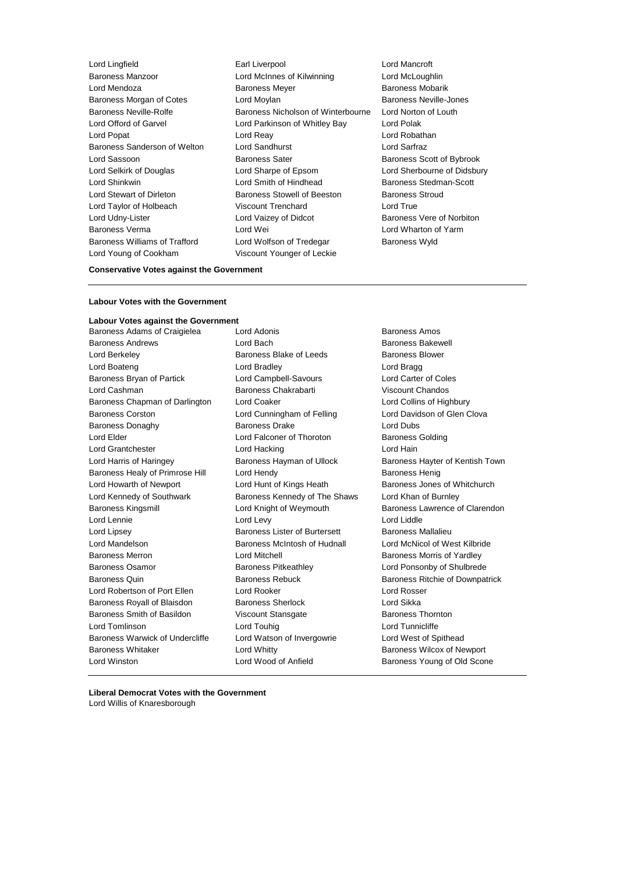- Lord Young of Cookham Viscount Younger of Leckie
- Lord Lingfield Earl Liverpool Lord Mancroft Baroness Manzoor Lord McInnes of Kilwinning Lord McLoughlin Lord Mendoza **Baroness Meyer** Baroness Meyer Baroness Mobarik Baroness Morgan of Cotes Lord Moylan Baroness Neville-Jones Baroness Neville-Rolfe **Baroness Nicholson of Winterbourne** Lord Norton of Louth Lord Offord of Garvel Lord Parkinson of Whitley Bay Lord Polak Lord Popat Lord Reay Lord Robathan Baroness Sanderson of Welton Lord Sandhurst Lord Sarfraz Lord Sassoon **Baroness Sater** Baroness Sater **Baroness** Scott of Bybrook Lord Selkirk of Douglas Lord Sharpe of Epsom Lord Sherbourne of Didsbury Lord Shinkwin **Lord Smith of Hindhead** Baroness Stedman-Scott Lord Stewart of Dirleton Baroness Stowell of Beeston Baroness Stroud Lord Taylor of Holbeach Viscount Trenchard Lord True Lord Udny-Lister **Lord Vaizey of Didcot** Baroness Vere of Norbiton Baroness Verma Lord Wei Lord Wharton of Yarm Baroness Williams of Trafford Lord Wolfson of Tredegar Baroness Wyld
	-

### **Conservative Votes against the Government**

### **Labour Votes with the Government**

**Labour Votes against the Government** Baroness Adams of Craigielea Lord Adonis **Baroness Amos** Baroness Amos Baroness Andrews Lord Bach Baroness Bakewell Lord Berkeley **Baroness Blake of Leeds** Baroness Blower Lord Boateng Lord Bradley Lord Bragg Baroness Bryan of Partick Lord Campbell-Savours Lord Carter of Coles Lord Cashman Baroness Chakrabarti Viscount Chandos Baroness Chapman of Darlington Lord Coaker Lord Coallins of Highbury Baroness Corston Lord Cunningham of Felling Lord Davidson of Glen Clova Baroness Donaghy Baroness Drake Lord Dubs Lord Elder **Lord Falconer of Thoroton** Baroness Golding Lord Grantchester **Lord Hacking** Lord Hacking Lord Hain Lord Harris of Haringey **Baroness Hayman of Ullock** Baroness Hayter of Kentish Town Baroness Healy of Primrose Hill Lord Hendy Corporation Baroness Henig Lord Howarth of Newport **Lord Hunt of Kings Heath** Baroness Jones of Whitchurch Lord Kennedy of Southwark Baroness Kennedy of The Shaws Lord Khan of Burnley Baroness Kingsmill **Lord Knight of Weymouth** Baroness Lawrence of Clarendon Lord Lennie **Lord Lord Lord Lord Lord Lord Lord Liddle** Lord Lipsey Baroness Lister of Burtersett Baroness Mallalieu Lord Mandelson Baroness McIntosh of Hudnall Lord McNicol of West Kilbride Baroness Merron Lord Mitchell Baroness Morris of Yardley Baroness Osamor **Baroness Pitkeathley Baroness Providence Constraining Consumption** Lord Ponsonby of Shulbrede Baroness Quin **Baroness Rebuck** Baroness Rebuck Baroness Ritchie of Downpatrick Lord Robertson of Port Ellen Lord Rooker Lord Rosser Baroness Royall of Blaisdon Baroness Sherlock Lord Sikka Baroness Smith of Basildon Viscount Stansgate Baroness Thornton Lord Tomlinson Lord Touhig Lord Tunnicliffe Baroness Warwick of Undercliffe Lord Watson of Invergowrie Lord West of Spithead Baroness Whitaker **Lord Whitty Communist Communist Communist Communist Communist Communist Communist Communist Communist Communist Communist Communist Communist Communist Communist Communist Communist Communist Communist** Lord Winston Lord Wood of Anfield Baroness Young of Old Scone

**Liberal Democrat Votes with the Government** Lord Willis of Knaresborough